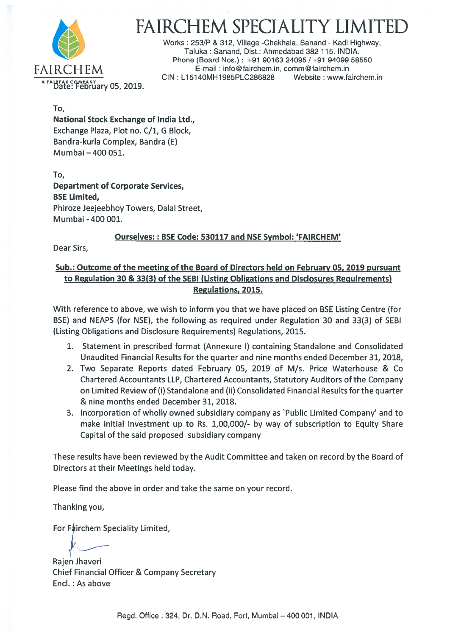

# FAIRCHEM SPECIALITY LIM

Works: 253/P & 312, Village -Chekhala, Sanand - Kadi Highway, Taluka: Sanand, Dist.: Ahmedabad 382 115. INDIA. Phone (Board Nos.): +91 90163 24095 / +91 94099 58550 FAIRCHEM E-mail:info@fairchem.in, comm@fairchem.in<br>CIN: L15140MH1985PLC286828 Website: www.fairchem.in CIN : L15140MH1985PLC286828

To,

National Stock Exchange of India Ltd., Exchange Plaza, Plot no. C/1, G Block, Bandra-kurla Complex, Bandra (E) Mumbai —400 051.

To, Department of Corporate Services, BSE Limited, Phiroze Jeejeebhoy Towers, Dalal Street, Mumbai -400 001.

### Ourselves:: BSE Code: 530117 and NSE Symbol: 'FAIRCHEM'

Dear Sirs,

### Sub.: Outcome of the meeting of the Board of Directors held on February 05, 2019 pursuan<sup>t</sup> to Regulation 30 & 33(3) of the SEBI (Listing Obligations and Disclosures Requirements) Regulations, 2015.

With reference to above, we wish to inform you that we have placed on BSE Listing Centre (for BSE) and NEAPS (for NSE), the following as required under Regulation 30 and 33(3) of SEBI (Listing Obligations and Disclosure Requirements) Regulations, 2015.

- 1. Statement in prescribed format (Annexure I) containing Standalone and Consolidated Unaudited Financial Results for the quarter and nine months ended December 31, 2018,
- 2. Two Separate Reports dated February 05, 2019 of M/s. Price Waterhouse & Co Chartered Accountants LLP, Chartered Accountants, Statutory Auditors of the Company on Limited Review of (I) Standalone and (ii) Consolidated Financial Results for the quarter & nine months ended December 31, 2018.
- 3. Incorporation of wholly owned subsidiary company as 'Public Limited Company' and to make initial investment up to Rs. 1,00,000/- by way of subscription to Equity Share Capital of the said proposed subsidiary company

These results have been reviewed by the Audit Committee and taken on record by the Board of Directors at their Meetings held today.

Please find the above in order and take the same on your record.

Thanking you,

For Fairchem Speciality Limited,

Rajen Jhaveri Chief Financial Officer & Company Secretary Encl.: As above

Regd. Office : 324, Dr. D.N. Road, Fort, Mumbai — 400 001, INDIA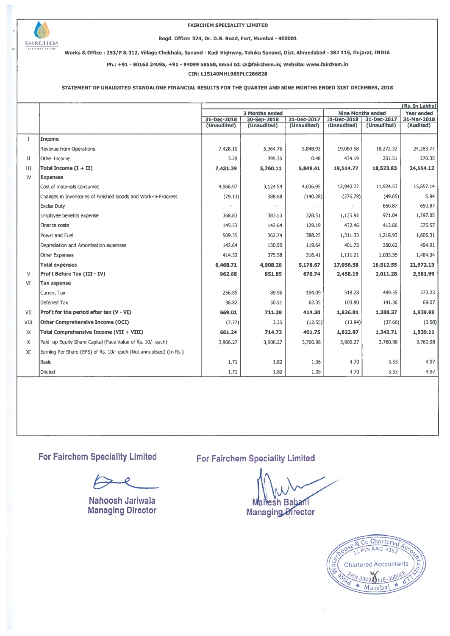

#### FAIRCHEM SPECIALITY LIMITED

### Regd. Office: 324, Dr. D.N. Road, Fort, Mumbai - 400001 FAIRCHEM

Works & Office: 253/P & 312, Village Chekhala, Sanand - Kadi Highway, Taluka Sanand, Dist. Ahmedabad - 382 115, Gujarat, INDIA

Ph.: +91 - 90163 24095, +91 - 94099 58550, Email Id: cs@fairchem.in; Website: www.fairchem.in

CIN: L15140MH1985PLC286828

### STATEMENT OF UNAUDITED STANDALONE FINANCIAL RESULTS FOR THE QUARTER AND NINE MONTHS ENDED 31ST DECEMBER, 2018

|             |                                                                    |                            |                            |                            |                            | (Rs. In Lakhs)             |                          |
|-------------|--------------------------------------------------------------------|----------------------------|----------------------------|----------------------------|----------------------------|----------------------------|--------------------------|
|             |                                                                    | 3 Months ended             |                            |                            | <b>Nine Months ended</b>   | <b>Year ended</b>          |                          |
|             |                                                                    | 31-Dec-2018<br>(Unaudited) | 30-Sep-2018<br>(Unaudited) | 31-Dec-2017<br>(Unaudited) | 31-Dec-2018<br>(Unaudited) | 31-Dec-2017<br>(Unaudited) | 31-Mar-2018<br>(Audited) |
|             |                                                                    |                            |                            |                            |                            |                            |                          |
| $\mathbf I$ | <b>Income</b>                                                      |                            |                            |                            |                            |                            |                          |
|             | Revenue from Operations                                            | 7,428.10                   | 5,364.76                   | 5,848.93                   | 19,080.58                  | 18,272.32                  | 24,283.77                |
| П           | Other Income                                                       | 3.29                       | 395.35                     | 0.48                       | 434.19                     | 251.51                     | 270.35                   |
| III         | Total Income $(I + II)$                                            | 7,431.39                   | 5,760.11                   | 5,849.41                   | 19,514.77                  | 18,523.83                  | 24,554.12                |
| IV          | <b>Expenses</b>                                                    |                            |                            |                            |                            |                            |                          |
|             | Cost of materials consumed                                         | 4,966.97                   | 3,124.54                   | 4,036.95                   | 12,940.72                  | 11,924.53                  | 15,857.14                |
|             | Changes in Inventories of Finished Goods and Work-in-Progress      | (79.13)                    | 388.68                     | (140.28)                   | (276.79)                   | (49.65)                    | 6.94                     |
|             | <b>Excise Duty</b>                                                 |                            |                            |                            |                            | 650.87                     | 650.87                   |
|             | Employee benefits expense                                          | 368.83                     | 383.53                     | 328.51                     | 1,135.92                   | 971.04                     | 1,297.05                 |
|             | Finance costs                                                      | 145.53                     | 142.64                     | 129.19                     | 432.46                     | 412.86                     | 575.57                   |
|             | Power and Fuel                                                     | 509.35                     | 362.74                     | 388.25                     | 1,311.33                   | 1,218.93                   | 1,605.31                 |
|             | Depreciation and Amortisation expenses                             | 142.64                     | 130.55                     | 119.64                     | 401.73                     | 350.62                     | 494.91                   |
|             | Other Expenses                                                     | 414.52                     | 375.58                     | 316.41                     | 1,111.21                   | 1,033.35                   | 1,484.34                 |
|             | <b>Total expenses</b>                                              | 6,468.71                   | 4,908.26                   | 5,178.67                   | 17,056.58                  | 16,512.55                  | 21,972.13                |
| v           | <b>Profit Before Tax (III - IV)</b>                                | 962.68                     | 851.85                     | 670.74                     | 2,458.19                   | 2,011.28                   | 2,581.99                 |
| VI          | <b>Tax expense</b>                                                 |                            |                            |                            |                            |                            |                          |
|             | <b>Current Tax</b>                                                 | 256.85                     | 89.96                      | 194.09                     | 518.28                     | 489.55                     | 573.23                   |
|             | Deferred Tax                                                       | 36.82                      | 50.51                      | 62.35                      | 103.90                     | 141.36                     | 69.07                    |
| VII         | Profit for the period after tax (V - VI)                           | 669.01                     | 711.38                     | 414.30                     | 1,836.01                   | 1,380.37                   | 1,939.69                 |
| <b>VIII</b> | Other Comprehensive Income (OCI)                                   | (7.77)                     | 3.35                       | (12.55)                    | (13.94)                    | (37.66)                    | (0.58)                   |
| IX          | Total Comprehensive Income (VII + VIII)                            | 661.24                     | 714.73                     | 401.75                     | 1,822.07                   | 1,342.71                   | 1,939.11                 |
| X           | Paid -up Equity Share Capital (Face Value of Rs. 10/- each)        | 3,906.27                   | 3,906.27                   | 3,760.98                   | 3,906.27                   | 3,760.98                   | 3,760.98                 |
| XI          | Earning Per Share (EPS) of Rs. 10/- each (Not annualised) (In Rs.) |                            |                            |                            |                            |                            |                          |
|             | Basic                                                              | 1.71                       | 1.82                       | 1.06                       | 4.70                       | 3.53                       | 4.97                     |
|             | Diluted                                                            | 1.71                       | 1.82                       | 1.06                       | 4.70                       | 3.53                       | 4.97                     |

For Fairchem Speciality Limited

Nahoosh Jariwala Managing Director

### For Fairchem Speciality Limited

Mahesh Babani Managin rector

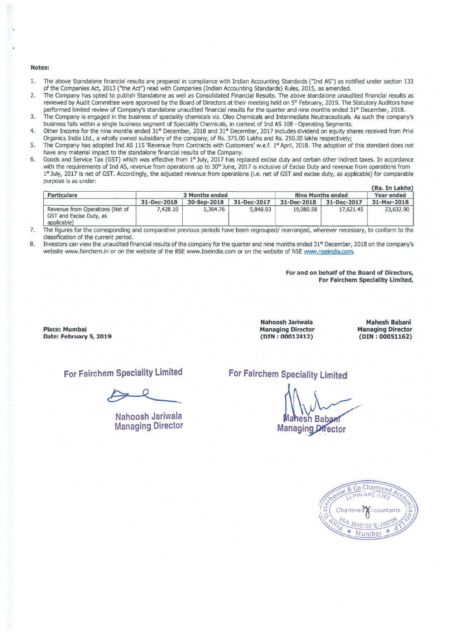#### Notes:

- 1. The above Standalone financial results are prepared in compliance with Indian Accounting Standards ("Ind AS") as notified under section 133 of the Companies Act, 2013 ("the Act") read with Companies (Indian Accounting Standards) Rules, 2015, as amended.
- 2. The Company has opted to publish Standalone as well as Consolidated Financial Results. The above standalone unaudited financial results as reviewed by Audit Committee were approved by the Board of Directors at their meeting held on 5<sup>th</sup> February, 2019. The Statutory Auditors have performed limited review of Company's standalone unaudited financial results for the quarter and nine months ended  $31<sup>st</sup>$  December, 2018.
- 3. The Company is engaged in the business of speciality chemicals viz. Oleo Chemicals and Intermediate Neutraceuticals. As such the company's business falls within a single business segment of Speciality Chemicals, in context of Ind AS 108 - Operating Segments.
- 4. Other Income for the nine months ended 31st December, 2018 and 31st December, 2017 includes dividend on equity shares received from Privi Organics India Ltd., <sup>a</sup> wholly owned subsidiary of the company, of Rs. 375.00 Lakhs and Rs. 250.00 lakhs respectively;
- 5. The Company has adopted Ind AS 115 'Revenue from Contracts with Customers' w.e.f. 1<sup>st</sup> April, 2018. The adoption of this standard does not have any material impact to the standalone financial results of the Company.
- 6. Goods and Service Tax (GST) which was effective from 1<sup>st</sup> July, 2017 has replaced excise duty and certain other indirect taxes. In accordance with the requirements of Ind AS, revenue from operations up to 30<sup>th</sup> June, 2017 is inclusive of Excise Duty and revenue from operations from 1<sup>st</sup> July, 2017 is net of GST. Accordingly, the adjusted revenue from operations (i.e. net of GST and excise duty, as applicable) for comparable purpose is as under:

|                                                                           |                |             |             |                          |                   | (Rs. In Lakhs) |
|---------------------------------------------------------------------------|----------------|-------------|-------------|--------------------------|-------------------|----------------|
| <b>Particulars</b>                                                        | 3 Months ended |             |             | <b>Nine Months ended</b> | <b>Year ended</b> |                |
|                                                                           | 31-Dec-2018    | 30-Sep-2018 | 31-Dec-2017 | 31-Dec-2018              | 31-Dec-2017       | 31-Mar-2018    |
| Revenue from Operations (Net of<br>GST and Excise Duty, as<br>applicable) | 7.428.10       | 5.364.76    | 5,848.93    | 19,080.58                | 17.621.45         | 23.632.90      |

7. The figures for the corresponding and comparative previous periods have been regrouped/ rearranged, wherever necessary, to conform to the classification of the current period.

8. Investors can view the unaudited financial results of the company for the quarter and nine months ended 31<sup>st</sup> December, 2018 on the company's website www.fairchem.in or on the website of the BSE www.bseindia.com or on the website of NSE www.nseindia.com.

> For and on behalf of the Board of Directors, For Fairchem Speciality Limited,

Place: Mumbai Date: February 5, 2019

Nahoosh Jariwala Managing Director (DIN : 00012412)

Mahesh Babani Managing Director (DIN : 00051162)

For Fairchem Speciality Limited

Nahoosh Jariwala Managing Director For Fairchem Speciality Limited

esh Babant **Managing Director** 

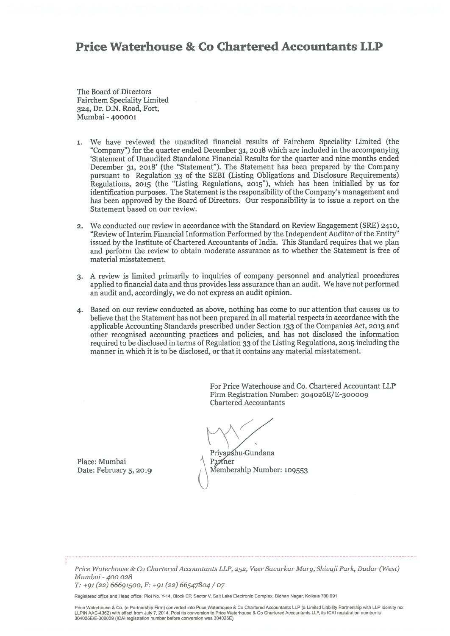## Price Waterhouse & Co Chartered Accountants IL?

The Board of Directors Fairchem Speciality Limited 324, Dr. D.N. Road, fort, Mumbai -400001

- 1. We have reviewed the unaudited financial results of Fairchem Speciality Limited (the "Company") for the quarter ended December 31, <sup>2018</sup> which are included in the accompanying 'Statement of Unaudited Standalone Financial Results for the quarter and nine months ended December 31, 2018' (the "Statement"). The Statement has been prepared by the Company pursuan<sup>t</sup> to Regulation 33 of the SEBI (Listing Obligations and Disclosure Requirements) Regulations, <sup>2015</sup> (the "Listing Regulations, 2015"), which has been initialled by us for identification purposes. The Statement is the responsibility of the Company's management and has been approved by the Board of Directors. Our responsibility is to issue <sup>a</sup> repor<sup>t</sup> on the Statement based on our review.
- 2. We conducted our review in accordance with the Standard on Review Engagement (SRE) 2410, "Review of Interim Financial Information Performed by the Independent Auditor of the Entity" issued by the Institute of Chartered Accountants of India. This Standard requires that we <sup>p</sup>lan and perform the review to obtain moderate assurance as to whether the Statement is free of material misstatement.
- 3. A review is limited primarily to inquiries of company personnel and analytical procedures applied to financial data and thus provides less assurance than an audit. We have not performed an audit and, accordingly, we do not express an audit opinion.
- 4. Based on our review conducted as above, nothing has come to our attention that causes us to believe that the Statement has not been prepared in all material respects in accordance with the applicable Accounting Standards prescribed under Section <sup>133</sup> of the Companies Act, <sup>2013</sup> and other recognised accounting practices and policies, and has not disclosed the information required to be disclosed in terms of Regulation 33 ofthe Listing Regulations, <sup>2015</sup> including the manner in which it is to be disclosed, or that it contains any material misstatement.

For Price Waterhouse and Co. Chartered Accountant LLP Firm Registration Number: 3o4026E/E-300009 Chartered Accountants

Place: Mumbai  $\uparrow$  Partner

Priyapshu-Gundana Date: February 5, 2019  $\sqrt{\phantom{a}}\$ Membership Number: 109553

Price Waterhouse & Co Chartered Accountants LLP, 252, Veer Savarkar Marq, Shivaji Park, Dadar (West) Mumbai -400 028

T: +91 (22) 66691500, F: +91 (22) 66547804 / <sup>07</sup>

Registered office and Head office: Plot No. Y-14, Block ER Sector V, Salt Lake Electronic Complex, Bidhan Nagar, Kolkata 700 091

Price Waterhouse & Co. (a Partnership Firm) converted into Price Waterhouse & Co Chartered Accountants LLP (a Limited Liability Partnership with LLP identity no: LLPIN MC-4362) with effect from July 7, 2014. Post its conversion to Price Waterhouse & Co Chartered Accountants LLP, its CAl registration number is 304026E1E-300009 (ICAI registration number before conversion was 3040265)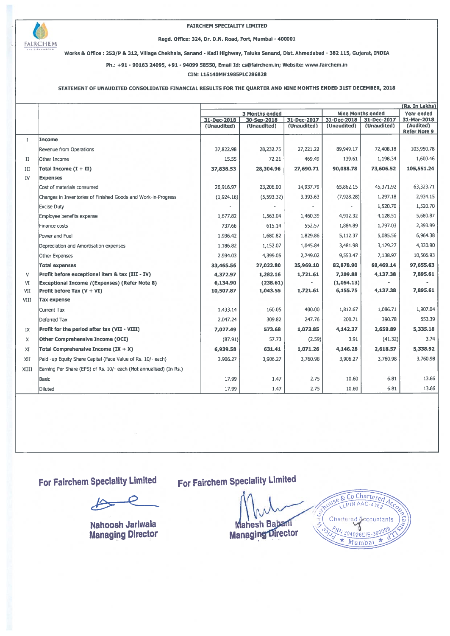

# m FAIRCHEM SPECIALITY LIMITED Regd. Office: 324, Dr. D.N. Road, Fort, Mumbai -400001

& Office : 253/P & 312, Village Chekhala, Sanand - Kadi Highway, Taluka Sanand, Dist. Ahmedabad - <sup>382</sup> 115, Gujarat, INDIA

Ph.: +91 - 90163 24095, +91 - 94099 58550, Email Id: cs@fairchem.in; Website: www.fairchem.in

CIN: 115140MH1985PLC286828

### STATEMENT OF UNAUDtED CONSOLIDATED FINANCIAL RESULTS FOR THE QUARTER AND NINE MONTHS ENDED 31ST DECEMBER, 2018

|              |                                                                    |                |             |             |                            |                            | (Rs. In Lakhs)           |
|--------------|--------------------------------------------------------------------|----------------|-------------|-------------|----------------------------|----------------------------|--------------------------|
|              |                                                                    | 3 Months ended |             |             | <b>Nine Months ended</b>   | Year ended                 |                          |
|              |                                                                    | 31-Dec-2018    | 30-Sep-2018 | 31-Dec-2017 | 31-Dec-2018<br>(Unaudited) | 31-Dec-2017<br>(Unaudited) | 31-Mar-2018<br>(Audited) |
|              |                                                                    | (Unaudited)    | (Unaudited) | (Unaudited) |                            |                            | <b>Refer Note 9</b>      |
| $\mathbf{I}$ | <b>Income</b>                                                      |                |             |             |                            |                            |                          |
|              | Revenue from Operations                                            | 37,822.98      | 28,232.75   | 27,221.22   | 89,949.17                  | 72,408.18                  | 103,950.78               |
| п            | Other Income                                                       | 15.55          | 72.21       | 469.49      | 139.61                     | 1,198.34                   | 1,600.46                 |
| III          | Total Income $(I + II)$                                            | 37,838.53      | 28,304.96   | 27,690.71   | 90,088.78                  | 73,606.52                  | 105,551.24               |
| IV           | <b>Expenses</b>                                                    |                |             |             |                            |                            |                          |
|              | Cost of materials consumed                                         | 26,916.97      | 23,206.00   | 14,937.79   | 65,862.15                  | 45,371.92                  | 63,323.71                |
|              | Changes in Inventories of Finished Goods and Work-in-Progress      | (1,924.16)     | (5, 593.32) | 3,393.63    | (7,928.28)                 | 1,297.18                   | 2,934.15                 |
|              | <b>Excise Duty</b>                                                 |                |             |             |                            | 1,520.70                   | 1,520.70                 |
|              | Employee benefits expense                                          | 1,677.82       | 1,563.04    | 1,460.39    | 4,912.32                   | 4,128.51                   | 5,680.87                 |
|              | Finance costs                                                      | 737.66         | 615.14      | 552.57      | 1,884.89                   | 1,797.03                   | 2,393.99                 |
|              | Power and Fuel                                                     | 1,936.42       | 1,680.82    | 1,829.86    | 5,112.37                   | 5,085.56                   | 6,964.38                 |
|              | Depreciation and Amortisation expenses                             | 1,186.82       | 1,152.07    | 1,045.84    | 3,481.98                   | 3,129.27                   | 4,330.90                 |
|              | Other Expenses                                                     | 2,934.03       | 4,399.05    | 2,749.02    | 9,553.47                   | 7,138.97                   | 10,506.93                |
|              | <b>Total expenses</b>                                              | 33,465.56      | 27,022.80   | 25,969.10   | 82,878.90                  | 69,469.14                  | 97,655.63                |
| V            | Profit before exceptional item & tax (III - IV)                    | 4,372.97       | 1,282.16    | 1,721.61    | 7,209.88                   | 4,137.38                   | 7,895.61                 |
| VI           | <b>Exceptional Income /(Expenses) (Refer Note 8)</b>               | 6,134.90       | (238.61)    |             | (1,054.13)                 |                            |                          |
| VII          | Profit before Tax (V + VI)                                         | 10,507.87      | 1,043.55    | 1,721.61    | 6,155.75                   | 4,137.38                   | 7,895.61                 |
| VIII         | <b>Tax expense</b>                                                 |                |             |             |                            |                            |                          |
|              | Current Tax                                                        | 1,433.14       | 160.05      | 400.00      | 1,812.67                   | 1,086.71                   | 1,907.04                 |
|              | Deferred Tax                                                       | 2,047.24       | 309.82      | 247.76      | 200.71                     | 390.78                     | 653.39                   |
| IX           | Profit for the period after tax (VII - VIII)                       | 7,027.49       | 573.68      | 1,073.85    | 4,142.37                   | 2,659.89                   | 5,335.18                 |
| X            | <b>Other Comprehensive Income (OCI)</b>                            | (87.91)        | 57.73       | (2.59)      | 3.91                       | (41.32)                    | 3.74                     |
| XI           | Total Comprehensive Income $IX + X$ )                              | 6,939.58       | 631.41      | 1,071.26    | 4,146.28                   | 2,618.57                   | 5,338.92                 |
| XII          | Paid -up Equity Share Capital (Face Value of Rs. 10/- each)        | 3,906.27       | 3,906.27    | 3,760.98    | 3,906.27                   | 3,760.98                   | 3,760.98                 |
| XIIII        | Earning Per Share (EPS) of Rs. 10/- each (Not annualised) (In Rs.) |                |             |             |                            |                            |                          |
|              | Basic                                                              | 17.99          | 1.47        | 2.75        | 10.60                      | 6.81                       | 13.66                    |
|              | Diluted                                                            | 17.99          | 1.47        | 2.75        | 10.60                      | 6.81                       | 13.66                    |

For Fairchem Specialty Limited

an i

Nahoosh Jariwala Managing Director

For Fairchem Speciality Limited

hesh Babani Ż **Managing Director** 

8. Co Chartered  $1$  PIN AAC  $4$  16 Chartere 304026E/E ₩ Mumbai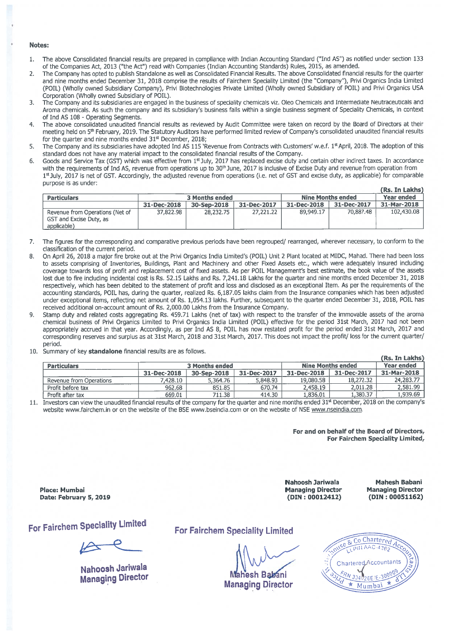#### Notes:

- 1. The above Consolidated financial results are prepared in compliance with Indian Accounting Standard ("Ind AS") as notified under section 133 of the Companies Act, 2013 ("the Act") read with Companies (Indian Accounting Standards) Rules, 2015, as amended.
- 2. The Company has opted to publish Standalone as well as Consolidated Financial Results. The above Consolidated financial results for the quarter and nine months ended December 31, <sup>2018</sup> comprise the results of Fairchem Speciality Limited (the "Company"), Privi Organics India Limited (POlL) (Wholly owned Subsidiary Company), Privi Biotechnologies Private Limited (Wholly owned Subsidiary of POlL) and Privi Organics USA Corporation (Wholly owned Subsidiary of POlL).
- 3. The Company and its subsidiaries are engage<sup>d</sup> in the business of speciality chemicals viz. Oleo Chemicals and Intermediate Neutraceuticals and Aroma chemicals. As such the company and its subsidiary's business falls within <sup>a</sup> single business segmen<sup>t</sup> of Speciality Chemicals, in context of Ind AS 108 - Operating Segments.
- The above consolidated unaudited financial results as reviewed by Audit Committee were taken on record by the Board of Directors at their meeting held on 5<sup>th</sup> February, 2019. The Statutory Auditors have performed limited review of Company's consolidated unaudited financial results for the quarter and nine months ended 31<sup>st</sup> December, 2018;
- 5. The Company and its subsidiaries have adopted Ind AS 115 'Revenue from Contracts with Customers' w.e.f. 1<sup>st</sup> April, 2018. The adoption of this standard does not have any material impact to the consolidated financial results of the Company.
- 6. Goods and Service Tax (GST) which was effective from 1st July, 2017 has replaced excise duty and certain other indirect taxes. In accordance with the requirements of Ind AS, revenue from operations up to 30<sup>th</sup> June, 2017 is inclusive of Excise Duty and revenue from operation from 1<sup>st</sup> July, 2017 is net of GST. Accordingly, the adjusted revenue from operations (i.e. net of GST and excise duty, as applicable) for comparable purpose is as under: (Rs. In Iakhs)

|                                                                           |                       |             |             |                          |                   | TKS. IN LAKIST |
|---------------------------------------------------------------------------|-----------------------|-------------|-------------|--------------------------|-------------------|----------------|
| <b>Particulars</b>                                                        | <b>3 Months ended</b> |             |             | <b>Nine Months ended</b> | <b>Year ended</b> |                |
|                                                                           | 31-Dec-2018           | 30-Sep-2018 | 31-Dec-2017 | 31-Dec-2018              | 31-Dec-2017       | 31-Mar-2018    |
| Revenue from Operations (Net of<br>GST and Excise Duty, as<br>applicable) | 37,822.98             | 28,232.75   | 27,221.22   | 89.949.17                | 70.887.48         | 102,430.08     |

- 7. The figures for the corresponding and comparative previous periods have been regrouped/ rearranged, wherever necessary, to conform to the classification of the current period.
- 8. On April 26, <sup>2018</sup> <sup>a</sup> major fire broke out at the Privi Organics India Limited's (POlL) Unit <sup>2</sup> Plant located at MIDC, Mahad. There had been loss to assets comprising of Inventories, Buildings, Plant and Machinery and other Fixed Assets etc., which were adequately insured including coverage towards loss of profit and replacement cost of fixed assets. As per POlL Management's best estimate, the book value of the assets lost due to fire including incidental cost is Rs. 52.15 Lakhs and Rs. 7,241.18 Lakhs for the quarter and nine months ended December 31, <sup>2018</sup> respectively, which has been debited to the statement of profit and loss and disclosed as an exceptional Item. As per the requirements of the accounting standards, POlL has, during the quarter, realized Rs. 6,187.05 lakhs claim from the Insurance companies which has been adjusted under exceptional items, reflecting net amount of Rs. 1,054.13 lakhs. Further, subsequent to the quarter ended December 31, 2018, POlL has received additional on-account amount of Rs. 2,000.00 Lakhs from the Insurance Company.
- 9. Stamp duty and related costs aggregating Rs. 459.71 Lakhs (net of tax) with respec<sup>t</sup> to the transfer of the immovable assets of the aroma chemical business of Privi Organics Limited to Privi Organics India Limited (POlL) effective for the period 31st March, <sup>2017</sup> had not been appropriately accrued in that year. Accordingly, as per Ind AS 8, POIL has now restated profit for the period ended 31st March, 2017 and corresponding reserves and surplus as at 31st March, 2018 and 31st March, 2017. This does not impact the profit/ loss for the current quarter/ period.
- 10. Summary of key standalone financial results are as follows.

| <b>Particulars</b>      | <b>3 Months ended</b> |             |             | <b>Nine Months ended</b> | Year ended  |             |
|-------------------------|-----------------------|-------------|-------------|--------------------------|-------------|-------------|
|                         | 31-Dec-2018           | 30-Sep-2018 | 31-Dec-2017 | 31-Dec-2018              | 31-Dec-2017 | 31-Mar-2018 |
| Revenue from Operations | 428.10                | 5,364.76    | 5,848.93    | 19.080.58                | 18.272.32   | 24,283.77   |
| Profit before tax       | 962.68                | 851.85      | 670.74      | 2,458.19                 | 2.011.28    | 2.581.99    |
| Profit after tax        | 669.01                | 711.38      | 414.30      | 1.836.01                 | .,380.37    | 1.939.69    |

 $11.$  Investors can view the unaudited financial results of the company for the quarter and nine months ended 31\* December, 2018 on the company's website www.fairchem.in or on the website of the BSE www.bseindia.com or on the website of NSE www.nseindia.com.

> For and on behalf of the Board of Directors, For Fairchem Speciality Limited,

Place: Mumbai Date: February 5, 2019

For Fairchem Speciality Limited

Nahoosh Jariwala Managing Director

Nahoosh Jariwala Managing Director (DIN : 00012412)

Mahesh Babani Managing Director (DIN : 00051162)

For Fairchem Speciality Limited

Mahesh Babani Managing Director